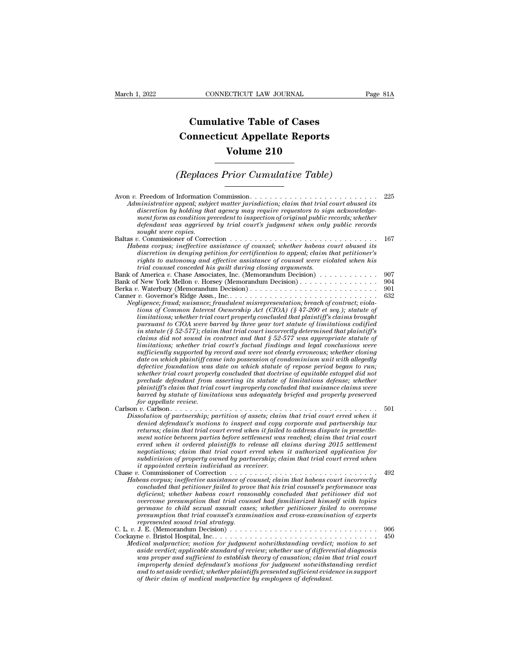## **CONNECTICUT LAW JOURNAL**<br> **Cumulative Table of Cases<br>
pnnecticut Appellate Reports CONNECTICUT LAW JOURNAL** Pa<br> **Cumulative Table of Cases**<br> **Connecticut Appellate Reports**<br> **Volume 210 ECTICUT LAW JOURNAL**<br> **Volume 210**<br> **Volume 210**<br> **Volume 210**<br> **Volume 210 Cumulative Table of Cases<br>
Connecticut Appellate Reports<br>
Volume 210<br>
(Replaces Prior Cumulative Table)**<br>
Information Commission

| Volume 210                                                                                                                                                                                                                                                                                                                                                                                                                                                                                                                                                                                                                                                                                                                                                                                                                                                                                                                                                                                                                                                                                                                                                                                                                                                                                                                                                                  |                          |  |  |  |
|-----------------------------------------------------------------------------------------------------------------------------------------------------------------------------------------------------------------------------------------------------------------------------------------------------------------------------------------------------------------------------------------------------------------------------------------------------------------------------------------------------------------------------------------------------------------------------------------------------------------------------------------------------------------------------------------------------------------------------------------------------------------------------------------------------------------------------------------------------------------------------------------------------------------------------------------------------------------------------------------------------------------------------------------------------------------------------------------------------------------------------------------------------------------------------------------------------------------------------------------------------------------------------------------------------------------------------------------------------------------------------|--------------------------|--|--|--|
| (Replaces Prior Cumulative Table)                                                                                                                                                                                                                                                                                                                                                                                                                                                                                                                                                                                                                                                                                                                                                                                                                                                                                                                                                                                                                                                                                                                                                                                                                                                                                                                                           |                          |  |  |  |
| Administrative appeal; subject matter jurisdiction; claim that trial court abused its<br>discretion by holding that agency may require requestors to sign acknowledge-<br>ment form as condition precedent to inspection of original public records; whether<br>defendant was aggrieved by trial court's judgment when only public records<br>sought were copies.                                                                                                                                                                                                                                                                                                                                                                                                                                                                                                                                                                                                                                                                                                                                                                                                                                                                                                                                                                                                           | 225                      |  |  |  |
| Habeas corpus; ineffective assistance of counsel; whether habeas court abused its<br>discretion in denying petition for certification to appeal; claim that petitioner's<br>rights to autonomy and effective assistance of counsel were violated when his<br>trial counsel conceded his guilt during closing arguments.                                                                                                                                                                                                                                                                                                                                                                                                                                                                                                                                                                                                                                                                                                                                                                                                                                                                                                                                                                                                                                                     | 167                      |  |  |  |
| Bank of America v. Chase Associates, Inc. (Memorandum Decision)<br>Bank of New York Mellon v. Horsey (Memorandum Decision)<br>Negligence; fraud; nuisance; fraudulent misrepresentation; breach of contract; viola-<br>tions of Common Interest Ownership Act (CIOA) (§ 47-200 et seq.); statute of<br>limitations; whether trial court properly concluded that plaintiff's claims brought<br>pursuant to CIOA were barred by three year tort statute of limitations codified<br>in statute (§ 52-577); claim that trial court incorrectly determined that plaintiff's<br>claims did not sound in contract and that $\S 52-577$ was appropriate statute of<br>limitations; whether trial court's factual findings and legal conclusions were<br>sufficiently supported by record and were not clearly erroneous; whether closing<br>date on which plaintiff came into possession of condominium unit with allegedly<br>defective foundation was date on which statute of repose period began to run;<br>whether trial court properly concluded that doctrine of equitable estoppel did not<br>preclude defendant from asserting its statute of limitations defense; whether<br>plaintiff's claim that trial court improperly concluded that nuisance claims were<br>barred by statute of limitations was adequately briefed and properly preserved<br>for appellate review. | 907<br>904<br>901<br>632 |  |  |  |
| Dissolution of partnership; partition of assets; claim that trial court erred when it<br>denied defendant's motions to inspect and copy corporate and partnership tax<br>returns; claim that trial court erred when it failed to address dispute in presettle-<br>ment notice between parties before settlement was reached; claim that trial court<br>erred when it ordered plaintiffs to release all claims during 2015 settlement<br>negotiations; claim that trial court erred when it authorized application for<br>subdivision of property owned by partnership; claim that trial court erred when<br>it appointed certain individual as receiver.                                                                                                                                                                                                                                                                                                                                                                                                                                                                                                                                                                                                                                                                                                                    | 501                      |  |  |  |
| Chase v. Commissioner of Correction $\ldots$ ,,,,,,<br>Habeas corpus; ineffective assistance of counsel; claim that habeas court incorrectly<br>concluded that petitioner failed to prove that his trial counsel's performance was<br>deficient; whether habeas court reasonably concluded that petitioner did not<br>overcome presumption that trial counsel had familiarized himself with topics<br>germane to child sexual assault cases; whether petitioner failed to overcome<br>presumption that trial counsel's examination and cross-examination of experts<br>represented sound trial strategy.                                                                                                                                                                                                                                                                                                                                                                                                                                                                                                                                                                                                                                                                                                                                                                    | 492                      |  |  |  |
| C. L. v. J. E. (Memorandum Decision) $\ldots \ldots \ldots \ldots \ldots \ldots \ldots \ldots \ldots \ldots \ldots$<br>Medical malpractice; motion for judgment notwithstanding verdict; motion to set<br>aside verdict; applicable standard of review; whether use of differential diagnosis<br>was proper and sufficient to establish theory of causation; claim that trial court<br>improperly denied defendant's motions for judgment notwithstanding verdict<br>and to set aside verdict; whether plaintiffs presented sufficient evidence in support<br>of their claim of medical malpractice by employees of defendant.                                                                                                                                                                                                                                                                                                                                                                                                                                                                                                                                                                                                                                                                                                                                              | 906<br>450               |  |  |  |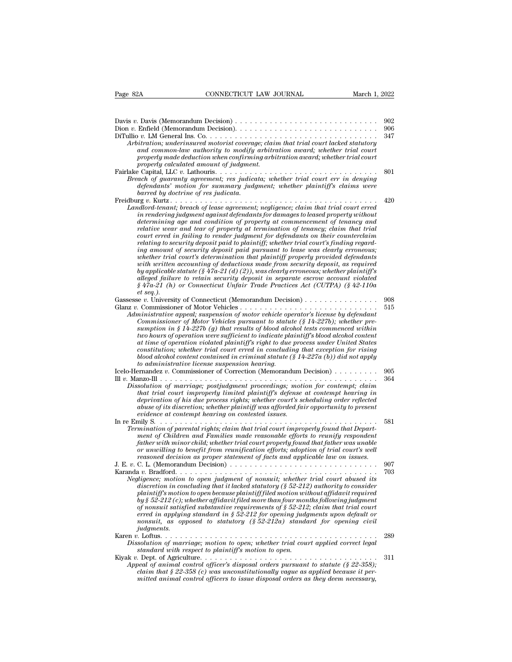| Page 82A                            | CONNECTICUT LAW JOURNAL                                                                                                                                                                                                                                                                                                                                                                                                                                                                                                                                                                                                                                                                                                                                                                                                                                                                                                                                                                                                         | March 1, 2022 |
|-------------------------------------|---------------------------------------------------------------------------------------------------------------------------------------------------------------------------------------------------------------------------------------------------------------------------------------------------------------------------------------------------------------------------------------------------------------------------------------------------------------------------------------------------------------------------------------------------------------------------------------------------------------------------------------------------------------------------------------------------------------------------------------------------------------------------------------------------------------------------------------------------------------------------------------------------------------------------------------------------------------------------------------------------------------------------------|---------------|
|                                     |                                                                                                                                                                                                                                                                                                                                                                                                                                                                                                                                                                                                                                                                                                                                                                                                                                                                                                                                                                                                                                 |               |
|                                     |                                                                                                                                                                                                                                                                                                                                                                                                                                                                                                                                                                                                                                                                                                                                                                                                                                                                                                                                                                                                                                 | 902           |
|                                     |                                                                                                                                                                                                                                                                                                                                                                                                                                                                                                                                                                                                                                                                                                                                                                                                                                                                                                                                                                                                                                 | 906           |
|                                     | Arbitration; underinsured motorist coverage; claim that trial court lacked statutory<br>and common-law authority to modify arbitration award; whether trial court<br>properly made deduction when confirming arbitration award; whether trial court<br>properly calculated amount of judgment.                                                                                                                                                                                                                                                                                                                                                                                                                                                                                                                                                                                                                                                                                                                                  | 347           |
| barred by doctrine of res judicata. | Breach of guaranty agreement; res judicata; whether trial court err in denying<br>defendants' motion for summary judgment; whether plaintiff's claims were                                                                                                                                                                                                                                                                                                                                                                                                                                                                                                                                                                                                                                                                                                                                                                                                                                                                      | 801           |
| et seq.).                           | Landlord-tenant; breach of lease agreement; negligence; claim that trial court erred<br>in rendering judgment against defendants for damages to leased property without<br>determining age and condition of property at commencement of tenancy and<br>relative wear and tear of property at termination of tenancy; claim that trial<br>court erred in failing to render judgment for defendants on their counterclaim<br>relating to security deposit paid to plaintiff; whether trial court's finding regard-<br>ing amount of security deposit paid pursuant to lease was clearly erroneous;<br>whether trial court's determination that plaintiff properly provided defendants<br>with written accounting of deductions made from security deposit, as required<br>by applicable statute (§ 47a-21 (d) (2)), was clearly erroneous; whether plaintiff's<br>alleged failure to retain security deposit in separate escrow account violated<br>$\S$ 47a-21 (h) or Connecticut Unfair Trade Practices Act (CUTPA) (§ 42-110a) | 420           |
|                                     | Administrative appeal; suspension of motor vehicle operator's license by defendant<br>Commissioner of Motor Vehicles pursuant to statute $(\S 14-227b)$ ; whether pre-<br>sumption in § 14-227b (g) that results of blood alcohol tests commenced within<br>two hours of operation were sufficient to indicate plaintiff's blood alcohol content<br>at time of operation violated plaintiff's right to due process under United States<br>constitution; whether trial court erred in concluding that exception for rising<br>blood alcohol content contained in criminal statute $(\S 14-227a (b))$ did not apply                                                                                                                                                                                                                                                                                                                                                                                                               | 908<br>515    |
|                                     | to administrative license suspension hearing.<br>Icelo-Hernandez v. Commissioner of Correction (Memorandum Decision) $\ldots \ldots \ldots$                                                                                                                                                                                                                                                                                                                                                                                                                                                                                                                                                                                                                                                                                                                                                                                                                                                                                     | 905           |
|                                     | Dissolution of marriage; postjudgment proceedings; motion for contempt; claim<br>that trial court improperly limited plaintiff's defense at contempt hearing in<br>deprivation of his due process rights; whether court's scheduling order reflected<br>abuse of its discretion; whether plaintiff was afforded fair opportunity to present<br>evidence at contempt hearing on contested issues.                                                                                                                                                                                                                                                                                                                                                                                                                                                                                                                                                                                                                                | 364           |
|                                     | Termination of parental rights; claim that trial court improperly found that Depart-<br>ment of Children and Families made reasonable efforts to reunify respondent<br>father with minor child; whether trial court properly found that father was unable<br>or unwilling to benefit from reunification efforts; adoption of trial court's well<br>reasoned decision as proper statement of facts and applicable law on issues.                                                                                                                                                                                                                                                                                                                                                                                                                                                                                                                                                                                                 | 581           |
| <i>judgments.</i>                   | Negligence; motion to open judgment of nonsuit; whether trial court abused its<br>discretion in concluding that it lacked statutory (§ 52-212) authority to consider<br>plaintiff's motion to open because plaintiff filed motion without affidavit required<br>by $\S 52-212$ (c); whether affidavit filed more than four months following judgment<br>of nonsuit satisfied substantive requirements of $\S 52-212$ ; claim that trial court<br>erred in applying standard in $\S 52-212$ for opening judgments upon default or<br>nonsuit, as opposed to statutory $(\text{\$}52-212a)$ standard for opening civil                                                                                                                                                                                                                                                                                                                                                                                                            | 907<br>703    |
|                                     | Dissolution of marriage; motion to open; whether trial court applied correct legal<br>standard with respect to plaintiff's motion to open.                                                                                                                                                                                                                                                                                                                                                                                                                                                                                                                                                                                                                                                                                                                                                                                                                                                                                      | 289           |
|                                     | Appeal of animal control officer's disposal orders pursuant to statute ( $\S$ 22-358);<br>claim that $\S 22-358$ (c) was unconstitutionally vague as applied because it per-<br>mitted animal control officers to issue disposal orders as they deem necessary,                                                                                                                                                                                                                                                                                                                                                                                                                                                                                                                                                                                                                                                                                                                                                                 | 311           |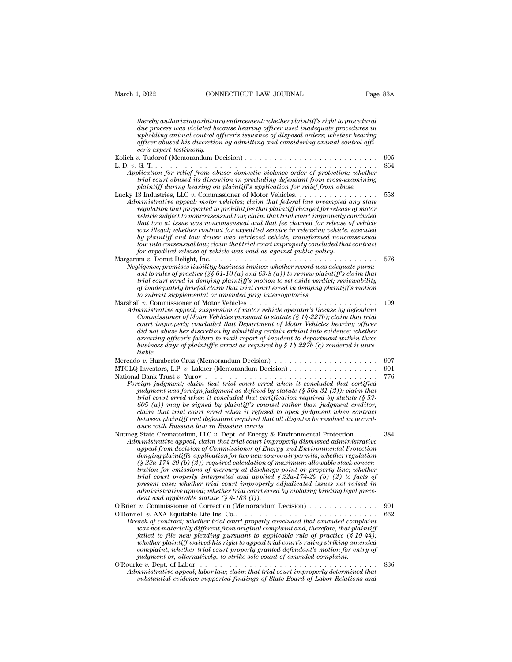| March 1, 2022<br>CONNECTICUT LAW JOURNAL                                                                                                                                                                                                                                                                                                                                                                                                                                                                                                                                                                                                                                                                                                                                                                                          | Page 83A |            |
|-----------------------------------------------------------------------------------------------------------------------------------------------------------------------------------------------------------------------------------------------------------------------------------------------------------------------------------------------------------------------------------------------------------------------------------------------------------------------------------------------------------------------------------------------------------------------------------------------------------------------------------------------------------------------------------------------------------------------------------------------------------------------------------------------------------------------------------|----------|------------|
| thereby authorizing arbitrary enforcement; whether plaintiff's right to procedural<br>due process was violated because hearing officer used inadequate procedures in                                                                                                                                                                                                                                                                                                                                                                                                                                                                                                                                                                                                                                                              |          |            |
| upholding animal control officer's issuance of disposal orders; whether hearing<br>officer abused his discretion by admitting and considering animal control offi-<br>cer's expert testimony.                                                                                                                                                                                                                                                                                                                                                                                                                                                                                                                                                                                                                                     |          |            |
|                                                                                                                                                                                                                                                                                                                                                                                                                                                                                                                                                                                                                                                                                                                                                                                                                                   |          | 905        |
| Application for relief from abuse; domestic violence order of protection; whether<br>trial court abused its discretion in precluding defendant from cross-examining<br>plaintiff during hearing on plaintiff's application for relief from abuse.                                                                                                                                                                                                                                                                                                                                                                                                                                                                                                                                                                                 |          | 864        |
| Lucky 13 Industries, LLC v. Commissioner of Motor Vehicles.<br>Administrative appeal; motor vehicles; claim that federal law preempted any state<br>regulation that purported to prohibit fee that plaintiff charged for release of motor<br>vehicle subject to nonconsensual tow; claim that trial court improperly concluded<br>that tow at issue was nonconsensual and that fee charged for release of vehicle<br>was illegal; whether contract for expedited service in releasing vehicle, executed<br>by plaintiff and tow driver who retrieved vehicle, transformed nonconsensual<br>tow into consensual tow; claim that trial court improperly concluded that contract<br>for expedited release of vehicle was void as against public policy.                                                                              |          | 558        |
| Negligence; premises liability; business invitee; whether record was adequate pursu-<br>ant to rules of practice (§§ 61-10 (a) and 63-8 (a)) to review plaintiff's claim that<br>trial court erred in denying plaintiff's motion to set aside verdict; reviewability<br>of inadequately briefed claim that trial court erred in denying plaintiff's motion<br>to submit supplemental or amended jury interrogatories.                                                                                                                                                                                                                                                                                                                                                                                                             |          | 576        |
| Administrative appeal; suspension of motor vehicle operator's license by defendant<br>Commissioner of Motor Vehicles pursuant to statute $(\S 14-227b)$ ; claim that trial<br>court improperly concluded that Department of Motor Vehicles hearing officer<br>did not abuse her discretion by admitting certain exhibit into evidence; whether<br>arresting officer's failure to mail report of incident to department within three<br>business days of plaintiff's arrest as required by $\S 14-227b$ (c) rendered it unre-<br>liable.                                                                                                                                                                                                                                                                                           |          | 109        |
|                                                                                                                                                                                                                                                                                                                                                                                                                                                                                                                                                                                                                                                                                                                                                                                                                                   |          | 907        |
|                                                                                                                                                                                                                                                                                                                                                                                                                                                                                                                                                                                                                                                                                                                                                                                                                                   |          | 901<br>776 |
| Foreign judgment; claim that trial court erred when it concluded that certified<br>judgment was foreign judgment as defined by statute $(\S 50a-31\%)$ ; claim that<br>trial court erred when it concluded that certification required by statute $(S$ 52-<br>$(605)$ (a)) may be signed by plaintiff's counsel rather than judgment creditor;<br>claim that trial court erred when it refused to open judgment when contract<br>between plaintiff and defendant required that all disputes be resolved in accord-<br>ance with Russian law in Russian courts.                                                                                                                                                                                                                                                                    |          |            |
| Nutmeg State Crematorium, LLC v. Dept. of Energy & Environmental Protection $\dots$ .<br>Administrative appeal; claim that trial court improperly dismissed administrative<br>appeal from decision of Commissioner of Energy and Environmental Protection<br>denying plaintiffs' application for two new source air permits; whether regulation<br>$(\S$ 22a-174-29 (b) (2)) required calculation of maximum allowable stack concen-<br>tration for emissions of mercury at discharge point or property line; whether<br>trial court properly interpreted and applied $\S 22a-174-29$ (b) (2) to facts of<br>present case; whether trial court improperly adjudicated issues not raised in<br>administrative appeal; whether trial court erred by violating binding legal prece-<br>dent and applicable statute $(\S$ 4-183 (i)). |          | 384        |
| O'Brien v. Commissioner of Correction (Memorandum Decision) $\dots \dots \dots \dots \dots$<br>Breach of contract; whether trial court properly concluded that amended complaint<br>was not materially different from original complaint and, therefore, that plaintiff<br>failed to file new pleading pursuant to applicable rule of practice $(\S 10-44)$ ;<br>whether plaintiff waived his right to appeal trial court's ruling striking amended<br>complaint; whether trial court properly granted defendant's motion for entry of<br>judgment or, alternatively, to strike sole count of amended complaint.                                                                                                                                                                                                                  |          | 901<br>662 |
| Administrative appeal; labor law; claim that trial court improperly determined that<br>substantial evidence supported findings of State Board of Labor Relations and                                                                                                                                                                                                                                                                                                                                                                                                                                                                                                                                                                                                                                                              |          | 836        |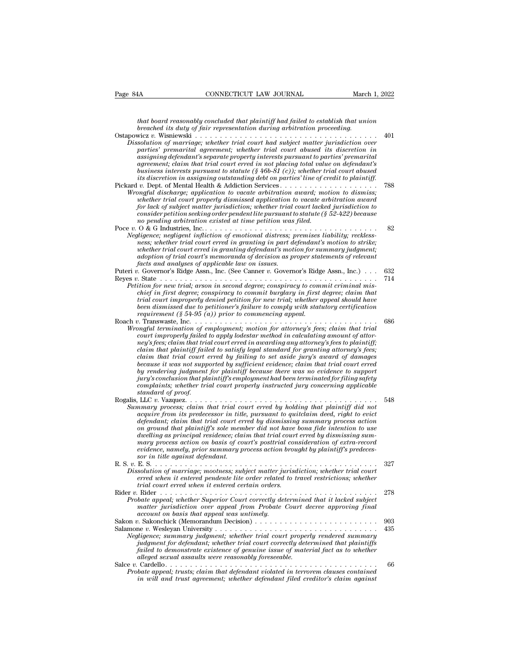*that board reasonably concluded that plaintiff had failed to establish that union*<br>*that board reasonably concluded that plaintiff had failed to establish that union*<br>*breached its duty of fair representation during arbit becahed its duty of fair representation during arbitration of marriage its duty of fair representation during arbitration proceeding.*<br>*breached its duty of fair representation during arbitration proceeding.*<br>*breaze with* 

| Page 84A           | CONNECTICUT LAW JOURNAL                                                                                                                                                             | March 1, 2022 |            |
|--------------------|-------------------------------------------------------------------------------------------------------------------------------------------------------------------------------------|---------------|------------|
|                    |                                                                                                                                                                                     |               |            |
|                    | that board reasonably concluded that plaintiff had failed to establish that union<br>breached its duty of fair representation during arbitration proceeding.                        |               |            |
|                    |                                                                                                                                                                                     |               | 401        |
|                    | Dissolution of marriage; whether trial court had subject matter jurisdiction over                                                                                                   |               |            |
|                    | parties' premarital agreement; whether trial court abused its discretion in<br>assigning defendant's separate property interests pursuant to parties' premarital                    |               |            |
|                    | agreement; claim that trial court erred in not placing total value on defendant's                                                                                                   |               |            |
|                    | business interests pursuant to statute (§ 46b- $\delta$ 1 (c)); whether trial court abused<br>its discretion in assigning outstanding debt on parties' line of credit to plaintiff. |               |            |
|                    |                                                                                                                                                                                     |               | 788        |
|                    | Wrongful discharge; application to vacate arbitration award; motion to dismiss;                                                                                                     |               |            |
|                    | whether trial court properly dismissed application to vacate arbitration award<br>for lack of subject matter jurisdiction; whether trial court lacked jurisdiction to               |               |            |
|                    | consider petition seeking order pendent lite pursuant to statute ( $\S 52-422$ ) because                                                                                            |               |            |
|                    | no pending arbitration existed at time petition was filed.                                                                                                                          |               | 82         |
|                    | Negligence; negligent infliction of emotional distress; premises liability; reckless-                                                                                               |               |            |
|                    | ness; whether trial court erred in granting in part defendant's motion to strike;                                                                                                   |               |            |
|                    | whether trial court erred in granting defendant's motion for summary judgment;<br>adoption of trial court's memoranda of decision as proper statements of relevant                  |               |            |
|                    | facts and analyses of applicable law on issues.                                                                                                                                     |               |            |
|                    | Puteri v. Governor's Ridge Assn., Inc. (See Canner v. Governor's Ridge Assn., Inc.)                                                                                                 |               | 632<br>714 |
|                    | Petition for new trial; arson in second degree; conspiracy to commit criminal mis-                                                                                                  |               |            |
|                    | chief in first degree; conspiracy to commit burglary in first degree; claim that                                                                                                    |               |            |
|                    | trial court improperly denied petition for new trial; whether appeal should have<br>been dismissed due to petitioner's failure to comply with statutory certification               |               |            |
|                    | requirement (§ 54-95 $(a)$ ) prior to commencing appeal.                                                                                                                            |               |            |
|                    | Wrongful termination of employment; motion for attorney's fees; claim that trial                                                                                                    |               | 686        |
|                    | court improperly failed to apply lodestar method in calculating amount of attor-                                                                                                    |               |            |
|                    | ney's fees; claim that trial court erred in awarding any attorney's fees to plaintiff;                                                                                              |               |            |
|                    | claim that plaintiff failed to satisfy legal standard for granting attorney's fees;<br>claim that trial court erred by failing to set aside jury's award of damages                 |               |            |
|                    | because it was not supported by sufficient evidence; claim that trial court erred                                                                                                   |               |            |
|                    | by rendering judgment for plaintiff because there was no evidence to support<br>jury's conclusion that plaintiff's employment had been terminated for filing safety                 |               |            |
|                    | complaints; whether trial court properly instructed jury concerning applicable                                                                                                      |               |            |
| standard of proof. |                                                                                                                                                                                     |               |            |
|                    | Summary process; claim that trial court erred by holding that plaintiff did not                                                                                                     |               | 548        |
|                    | acquire from its predecessor in title, pursuant to quitclaim deed, right to evict                                                                                                   |               |            |
|                    | defendant; claim that trial court erred by dismissing summary process action<br>on ground that plaintiff's sole member did not have bona fide intention to use                      |               |            |
|                    | dwelling as principal residence; claim that trial court erred by dismissing sum-                                                                                                    |               |            |
|                    | mary process action on basis of court's posttrial consideration of extra-record                                                                                                     |               |            |
|                    | evidence, namely, prior summary process action brought by plaintiff's predeces-<br>sor in title against defendant.                                                                  |               |            |
|                    |                                                                                                                                                                                     |               | 327        |
|                    | Dissolution of marriage; mootness; subject matter jurisdiction; whether trial court<br>erred when it entered pendente lite order related to travel restrictions; whether            |               |            |
|                    | trial court erred when it entered certain orders.                                                                                                                                   |               |            |
|                    |                                                                                                                                                                                     |               | 278        |
|                    | Probate appeal; whether Superior Court correctly determined that it lacked subject<br>matter jurisdiction over appeal from Probate Court decree approving final                     |               |            |
|                    | account on basis that appeal was untimely.                                                                                                                                          |               |            |
|                    |                                                                                                                                                                                     |               | 903        |
|                    | Negligence; summary judgment; whether trial court properly rendered summary                                                                                                         |               | 435        |
|                    | judgment for defendant; whether trial court correctly determined that plaintiffs                                                                                                    |               |            |
|                    | failed to demonstrate existence of genuine issue of material fact as to whether<br>alleged sexual assaults were reasonably foreseeable.                                             |               |            |
|                    |                                                                                                                                                                                     |               | 66         |
|                    | Probate appeal; trusts; claim that defendant violated in terrorem clauses contained                                                                                                 |               |            |
|                    | in will and trust agreement; whether defendant filed creditor's claim against                                                                                                       |               |            |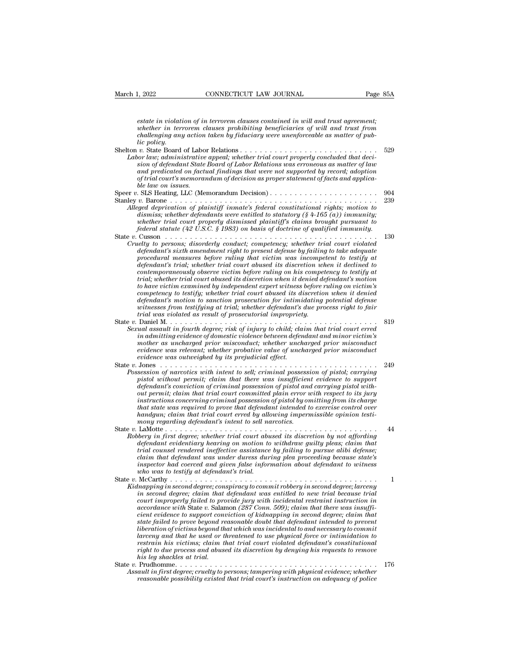*estate in violation of in terrorem clauses contained in will and trust agreement; whether in terrorem clauses contained in will and trust agreement;*<br>*whether in terrorem clauses prohibiting beneficiaries of will and trust from*<br>*whether in terrorem clauses prohibiting beneficiaries of will and trust f connection take in violation of in terrorem clauses contained in will and trust agreement;*<br> *challenging any action taken by fiduciary were unenforceable as matter of pub-*<br> *challenging any action taken by fiduciary wer l<sub>i</sub>* 2022<br>estate in violati<br>whether in terr<br>challenging any<br>vic State Board<br>vor law: admini estate in violation of in terrorem clauses contained in will and trust agreement;<br>whether in terrorem clauses prohibiting beneficiaries of will and trust from<br>challenging any action taken by fiduciary were unenforceable as *Labor in terrorem clauses contained in will and trust agreement;*<br>whether in terrorem clauses prohibiting beneficiaries of will and trust from<br>challenging any action taken by fiduciary were unenforceable as matter of pub*siate in violation of in terrorem clauses contained in will and trust agreement;*<br> *subtether in terrorem clauses prohibiting beneficiaries of will and trust from*<br> *challenging any action taken by fiduciary were unenforc and predicated on factual findings that were not supported an weal and trust agreement;*<br> *and trust from*<br> *challenging any action taken by fiduciary were unenforceable as matter of pub-<br>
dic policy.*<br> *v*. State Board o *of trial courts in terrorem clauses promining beneptcuaries of will and trust from<br>lic policy any action taken by fiduciary were unenforceable as matter of pub-<br>lic policy.<br>
<i>v*. State Board of Labor Relations............ *ble policy.*<br>*ble policy.*<br>*b s blate Board of Laboor law; administrative*<br>*sion of defendant State*<br>*and predicated on faction fried word issues.*<br>*ble law on issues.*<br>*SLS Heating, LLC (Mergense)* Speer *<sup>v</sup>*. SLS Heating, LLC (Memorandum Decision) . . . . . . . . . . . . . . . . . . . . . . <sup>904</sup> Stanley *v.* Barone . . . . . . . . . . . . . . . . . . . . . . . . . . . . . . . . . . . . . . . . . . <sup>239</sup> *Alleged deprivation of defendant State Board of Labor Relations was erroreous as matter of law*<br> *And predicated on factual findings that were not supported by record; adoption*<br> *Alleged deprivation of plaintiff inmate's distant pure in a distant of Lation Relations was erroneous as matter of that ordinal predicated on factual findings that were not supported by record; adoption of prial court's memorandum of decision as proper statement and preatcated on jactual jinarings that were not supported by record; daoption*<br>*of trial court's memorandum of decision as proper statement of facts and applica-*<br>*ble law on issues.*<br>TLS Heating, LLC (Memorandum Decisi *federal statute (42 U.S.C. § 1983) on basis of doctrine of qualified immunity.* State *<sup>v</sup>*. Cusson . . . . . . . . . . . . . . . . . . . . . . . . . . . . . . . . . . . . . . . . . . . <sup>130</sup> *Cruelty to persons; disorderly conduct; competency; whether trial court violated constitutional rights; motion to dismiss; whether defendants were entitled to statutory* (§ 4-165 (a)) *immunity; whether trial court pr defendant's sixth amendment right to present defense by failing to take adequate procedural measures before ruling that victim in the seconduction of particle to statutory (§4-165 (a)) immunity;*<br> *procedure referadants were entitled to statutory (§4-165 (a)) immunity;*<br> *procedural statute (42 U.S.C. dismiss; whether defendants were entitied to statutory* (8 4-105 (d)) *immunity;*<br>whether trial court properly dismissed plaintiff's claims brought pursuant to<br>federal statute (42 U.S.C. 8 1983) on basis of doctrine of qu *contemporaneously observe in the contemporaneously observe victim before ruling to persons; disorderly conduct; competency; whether trial court violated* defendant's sixth amendment right to present defense by failing to *trial; whether trial court abused its discretion when it denied defendant's motion* Cusson<br> *to persons; disorderly conduct; competency; whether trial court violated<br>
defendant's sixth amendment right to present defense by failing to take adequate<br>
aprocedural measures before ruling that victim was incomp competency; whether trial court violated*<br>defendant's sixth amendment right to present defense by failing to take adequate<br>procedural measures before ruling that victim was incompetent to testify at<br>defendant's trial; whe *defendant's sixth amendment right to present defense by failing to take adequate procedural measures before ruling that victim was incompetent to testify at defendant's trial, whether trial court abused its discretion whe* procedural measures before ruling that victim was incompetent to testify at defendant's trial; whether trial court abused its discretion when it declined to contemporaneously observe victim before ruling on his competency *contemporaneously observe victim before ruling on his competency to testify at trial; whether trial court abused its discretion when it denied defendant's motion to have victim examined by independent expert witness befor* contemporaneously observe victim before ruling on his competency to testify at<br>trial; whether trial court abused its discretion when it denied defendant's motion<br>to have victim examined by independent expert witness before *Fraa; whether trial court abused its asscretion when it denied aegendant's motion*<br>to have victim examined by independent expert witness before ruling on victim's<br>competency to testify; whether trial court bused its discr *io have victim examined by independent expert witness oegore ruting on victim's*<br> *iompetency to testify;* whether trial court abused its discretion when it denied<br> *defendant's motion to sanction prosecution for intimida competency to testify; whether trial court abused its asscretion when it denied defendant's motion to sanction prosecution for intimidating potential defense witnesses from testifying at trial; whether defendant's due pro expendants motion to sanction prosecution for intimidating potential defense<br>witnesses from testifying at trial; whether defendant's due process right to fair<br>trial was violated as result of probative in proportions*<br>Dani *evidence was outweighed by its prejudicial effect.* State *<sup>v</sup>*. Jones . . . . . . . . . . . . . . . . . . . . . . . . . . . . . . . . . . . . . . . . . . . . <sup>249</sup> *Possession of narcotics with intertion of criminal possession of pistol; carrying to child; claim that trial court erred in damitting evidence of domestic violence between defendant and minor victim's mother as uncharged pharma mitting evidence of domestic violence between defendant and minor victim's*<br> *pindmitting evidence of domestic violence between defendant and minor victim's*<br> *mother as uncharged prior misconduct; whether uncharge defined and maximum of criminal possession of and carrying and maximum mother as uncharged prior misconduct; whether uncharged prior misconduct evidence was relevant; whether probabic value of uncharged prior misconduct e* mother as uncharged prior misconalict; whether uncharged prior misconduct<br>evidence was relevant; whether probative value of uncharged prior misconduct<br>evidence was outweighed by its pregiudical effect.<br>Jones . . . . . . . *instructions concerning criminal possession of pistol concerning concerning concerning of ancrotics with intent to sell; criminal possession of pistol; carrying pistol without permit; claim that there was insufficient evi that state was required to prove that defendant intended to exercise control over handgun; claim that trial court erred by allowing impermissible opinion testimony in the monothermit; claim that there was insufficiently permit; claim that there was insufficiently conviction of criminal possession of pistol and permit; claim that trial court committed plain error instructions co* pstot without permit; claim that there was insufficient evidence to support<br>
defendant's conviction of criminal possession of pistol and carrying pistol with-<br>
out permit; claim that trial court committed plain error with *Robery in first degree; whether trial court commit possession of pistol and carrying pistol with*<br>internative diate trial court committed plain error with respect to its jury<br>instructions concerning criminal possession of *defendant conterring criminal possession of pistol by omitting from its charge instructions concerning criminal possession of pistol by omitting from its charge that state was required to prove that defendant intended to that state was required to prove that defendant intended to exercise control over*<br>*that state was required to prove that defendant intended to exercise control over*<br>*handgun; claim that trial court erred by allowing imp chandgur; claim that trial court erred by allowing impermissible opinion testi-handgur; claim that trial court erred by allowing impermissible opinion testi-<br>mony regarding defendant's intent to sell narrotics.<br>LaMotte . inspector had coerced and given false information about defendant to witness whore was the main is intent to set no*<br>*whore in first degree; whether trial court about the defendant evidentiary hearing on motion to<br>trial counsel rendered ineffective assistance<br>claim that defendant was under dur* State *<sup>v</sup>*. McCarthy . . . . . . . . . . . . . . . . . . . . . . . . . . . . . . . . . . . . . . . . . . <sup>1</sup> *Kidnapping in second degree; whether trial court abused its asscretion by not afforming defendant evident evident trial counsel rendered ineffective assistance by failing to pursue alibi defense;* claim that defendant was *in second tendentiary hearing on motion to withdraw guilty pleas; claim that counsel rendered ineffective assistance by failing to pursue alibi defense; claim that defendant was under dures during plea proceeding because coursel renaered ineffective assistance by jauing to pursue aino aejense;*<br>claim that defendant was under duress during plea proceeding because state's<br>inspector had coerced and given false information about defendant to *accord and coerced and given false information about defendant to witness* in the pector had coerced and given false information about defendant to witness who was to testify at defendant is trial mapping in second degree *composity and coerced and given jase information doout aejendant to winess*<br>who was to testify at defendant's trial.<br> $\frac{1}{2}$ <br> $\frac{1}{2}$ <br> $\frac{1}{2}$   $\frac{1}{2}$   $\frac{1}{2}$   $\frac{1}{2}$   $\frac{1}{2}$   $\frac{1}{2}$   $\frac{1}{2}$   $\frac{1}{2}$   $\frac{$ *state failed to testify at aegenaants trial.*<br> *McCarthy state failence: conspiracy to commit robbery in second degree; larceny*<br> *in second degree; claim that defendant was entitled to new trial because trial*<br> *court lihapping in second degree; conspiracy to commit robbery in second degree; larceny*<br>*in second degree; caim that defendant was entitled to new trial because trial*<br>*court improperly failed to provide jury with incidental larapping in second degree; conspiracy to commit robbery in second degree; larceny*<br>in second degree; claim that defendant was entitled to new trial because trial<br>court improperly failed to provide jury with incidental re *rm* second degree; claim that defendant was entitled to new trial because trial<br>court improperly failed to provide jury with incidental restraint instruction in<br>accordance with State v. Salamon (287 Conn. 509); claim that *right to due abused in provide jury with incidental restraint instruction in*<br>accordance with State v. Salamon (287 Com. 509); claim that there was insuffic-<br>cient evidence to support conviction of kidnapping in second de *accordance with State v. Salar*<br>*cient evidence to support constate failed to prove beyond relation of victims beyond that*<br>*larceny and that he used or trestrain his victims; claim tight to due process and abusi*<br>*his le* Extrain the value of support conviction by kianapping in second degree; claim that state failed to prove beyond reasonable doubt that defendant intended to prevent liberation of victims beyond that which was incidental to *Assault in first degree; cruelty to personable doubt that degendant intended to prevent<br>liberation of victims beyond that which was incidental to and necessary to commit<br>larceny and that he used or threatened to use physi reasonal that he used or threatened to use physical forces or intimidation to larecay and that trial court violated force or intimidation to restrain his victims; claim that trial court violated defendant's constitutional*